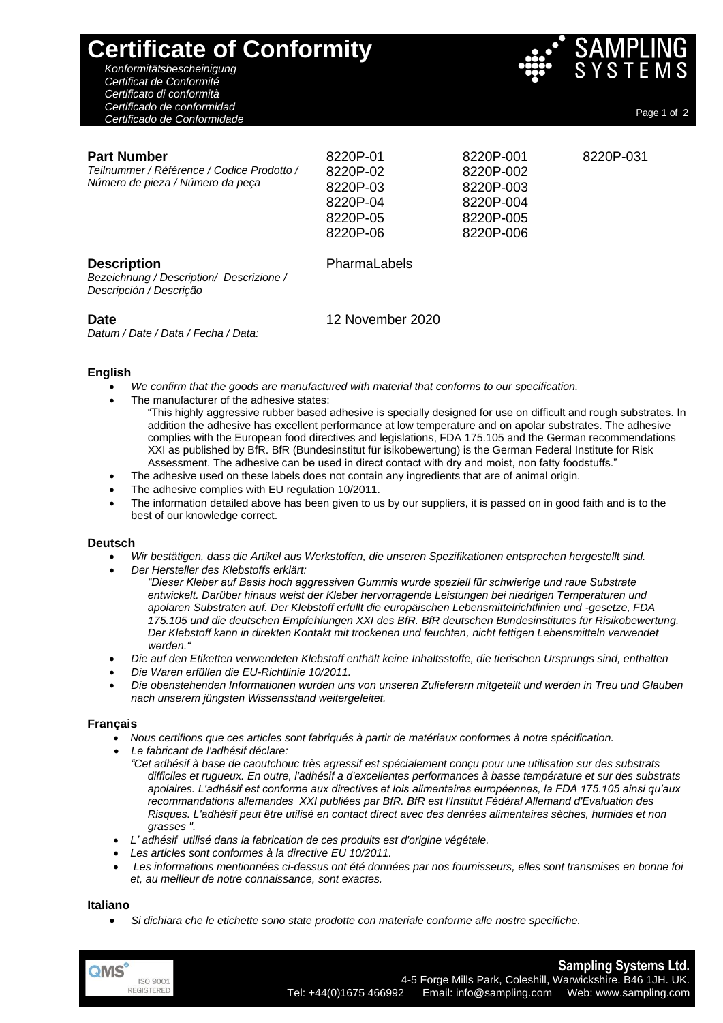| <b>Certificate of Conformity</b><br>Konformitätsbescheinigung<br>Certificat de Conformité<br>Certificato di conformità |                                                                      |                                                                            | <b>SAMPLING</b><br>SYSTEMS |
|------------------------------------------------------------------------------------------------------------------------|----------------------------------------------------------------------|----------------------------------------------------------------------------|----------------------------|
| Certificado de conformidad<br>Certificado de Conformidade                                                              |                                                                      |                                                                            | Page 1 of 2                |
| <b>Part Number</b><br>Teilnummer / Référence / Codice Prodotto /<br>Número de pieza / Número da peça                   | 8220P-01<br>8220P-02<br>8220P-03<br>8220P-04<br>8220P-05<br>8220P-06 | 8220P-001<br>8220P-002<br>8220P-003<br>8220P-004<br>8220P-005<br>8220P-006 | 8220P-031                  |
| <b>Description</b><br>Bezeichnung / Description/ Descrizione /<br>Descripción / Descrição                              | PharmaLabels                                                         |                                                                            |                            |
| <b>Date</b><br>Datum / Date / Data / Fecha / Data:                                                                     | 12 November 2020                                                     |                                                                            |                            |

# **English**

- *We confirm that the goods are manufactured with material that conforms to our specification.*
- The manufacturer of the adhesive states:
	- "This highly aggressive rubber based adhesive is specially designed for use on difficult and rough substrates. In addition the adhesive has excellent performance at low temperature and on apolar substrates. The adhesive complies with the European food directives and legislations, FDA 175.105 and the German recommendations XXI as published by BfR. BfR (Bundesinstitut für isikobewertung) is the German Federal Institute for Risk Assessment. The adhesive can be used in direct contact with dry and moist, non fatty foodstuffs."
- The adhesive used on these labels does not contain any ingredients that are of animal origin.
- The adhesive complies with EU regulation 10/2011.
- The information detailed above has been given to us by our suppliers, it is passed on in good faith and is to the best of our knowledge correct.

## **Deutsch**

- *Wir bestätigen, dass die Artikel aus Werkstoffen, die unseren Spezifikationen entsprechen hergestellt sind.*
- *Der Hersteller des Klebstoffs erklärt:* 
	- *"Dieser Kleber auf Basis hoch aggressiven Gummis wurde speziell für schwierige und raue Substrate entwickelt. Darüber hinaus weist der Kleber hervorragende Leistungen bei niedrigen Temperaturen und apolaren Substraten auf. Der Klebstoff erfüllt die europäischen Lebensmittelrichtlinien und -gesetze, FDA 175.105 und die deutschen Empfehlungen XXI des BfR. BfR deutschen Bundesinstitutes für Risikobewertung. Der Klebstoff kann in direkten Kontakt mit trockenen und feuchten, nicht fettigen Lebensmitteln verwendet werden."*
- *Die auf den Etiketten verwendeten Klebstoff enthält keine Inhaltsstoffe, die tierischen Ursprungs sind, enthalten*
- *Die Waren erfüllen die EU-Richtlinie 10/2011.*
- *Die obenstehenden Informationen wurden uns von unseren Zulieferern mitgeteilt und werden in Treu und Glauben nach unserem jüngsten Wissensstand weitergeleitet.*

## **Français**

- *Nous certifions que ces articles sont fabriqués à partir de matériaux conformes à notre spécification.*
- *Le fabricant de l'adhésif déclare:* 
	- *"Cet adhésif à base de caoutchouc très agressif est spécialement conçu pour une utilisation sur des substrats difficiles et rugueux. En outre, l'adhésif a d'excellentes performances à basse température et sur des substrats apolaires. L'adhésif est conforme aux directives et lois alimentaires européennes, la FDA 175.105 ainsi qu'aux recommandations allemandes XXI publiées par BfR. BfR est l'Institut Fédéral Allemand d'Evaluation des Risques. L'adhésif peut être utilisé en contact direct avec des denrées alimentaires sèches, humides et non grasses ".*
- *L' adhésif utilisé dans la fabrication de ces produits est d'origine végétale.*
- *Les articles sont conformes à la directive EU 10/2011.*
- *Les informations mentionnées ci-dessus ont été données par nos fournisseurs, elles sont transmises en bonne foi et, au meilleur de notre connaissance, sont exactes.*

## **Italiano**

• *Si dichiara che le etichette sono state prodotte con materiale conforme alle nostre specifiche.*